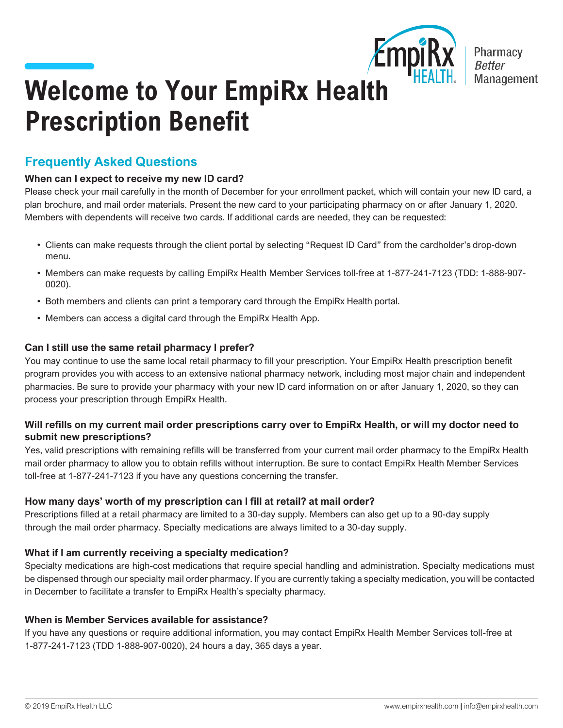

**Pharmacy** Management

# **Welcome to Your EmpiRx Health Prescription Benefit**

## **Frequently Asked Questions**

## **When can I expect to receive my new ID card?**

Please check your mail carefully in the month of December for your enrollment packet, which will contain your new ID card, a plan brochure, and mail order materials. Present the new card to your participating pharmacy on or after January 1, 2020. Members with dependents will receive two cards. If additional cards are needed, they can be requested:

- Clients can make requests through the client portal by selecting "Request ID Card" from the cardholder's drop-down menu.
- Members can make requests by calling EmpiRx Health Member Services toll-free at 1-877-241-7123 (TDD: 1-888-907- 0020).
- Both members and clients can print a temporary card through the EmpiRx Health portal.
- Members can access a digital card through the EmpiRx Health App.

## **Can I still use the same retail pharmacy I prefer?**

You may continue to use the same local retail pharmacy to fill your prescription. Your EmpiRx Health prescription benefit program provides you with access to an extensive national pharmacy network, including most major chain and independent pharmacies. Be sure to provide your pharmacy with your new ID card information on or after January 1, 2020, so they can process your prescription through EmpiRx Health.

#### **Will refills on my current mail order prescriptions carry over to EmpiRx Health, or will my doctor need to submit new prescriptions?**

Yes, valid prescriptions with remaining refills will be transferred from your current mail order pharmacy to the EmpiRx Health mail order pharmacy to allow you to obtain refills without interruption. Be sure to contact EmpiRx Health Member Services toll-free at 1-877-241-7123 if you have any questions concerning the transfer.

## **How many days' worth of my prescription can I fill at retail? at mail order?**

Prescriptions filled at a retail pharmacy are limited to a 30-day supply. Members can also get up to a 90-day supply through the mail order pharmacy. Specialty medications are always limited to a 30-day supply.

## **What if I am currently receiving a specialty medication?**

Specialty medications are high-cost medications that require special handling and administration. Specialty medications must be dispensed through our specialty mail order pharmacy. If you are currently taking a specialty medication, you will be contacted in December to facilitate a transfer to EmpiRx Health's specialty pharmacy.

## **When is Member Services available for assistance?**

If you have any questions or require additional information, you may contact EmpiRx Health Member Services toll-free at 1-877-241-7123 (TDD 1-888-907-0020), 24 hours a day, 365 days a year.